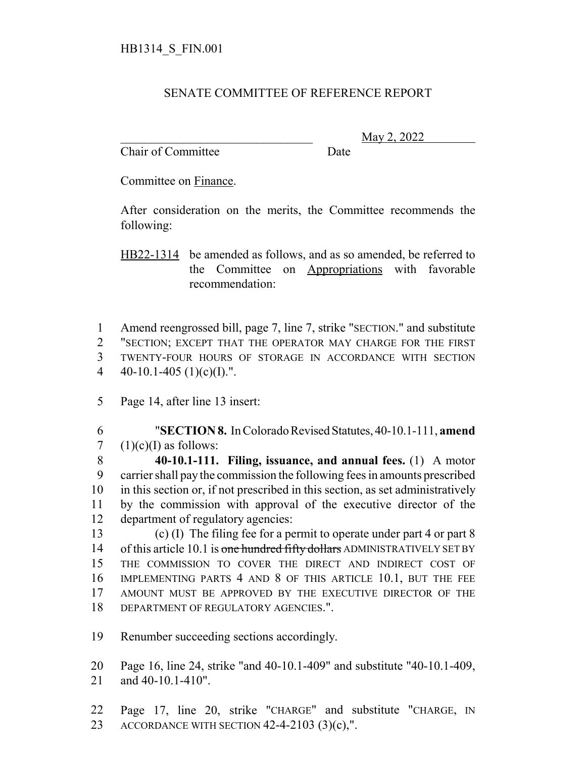## SENATE COMMITTEE OF REFERENCE REPORT

Chair of Committee Date

\_\_\_\_\_\_\_\_\_\_\_\_\_\_\_\_\_\_\_\_\_\_\_\_\_\_\_\_\_\_\_ May 2, 2022

Committee on Finance.

After consideration on the merits, the Committee recommends the following:

HB22-1314 be amended as follows, and as so amended, be referred to the Committee on Appropriations with favorable recommendation:

 Amend reengrossed bill, page 7, line 7, strike "SECTION." and substitute "SECTION; EXCEPT THAT THE OPERATOR MAY CHARGE FOR THE FIRST TWENTY-FOUR HOURS OF STORAGE IN ACCORDANCE WITH SECTION  $40-10.1-405$  (1)(c)(I).".

Page 14, after line 13 insert:

 "**SECTION 8.** In Colorado Revised Statutes, 40-10.1-111, **amend** 7  $(1)(c)(I)$  as follows:

 **40-10.1-111. Filing, issuance, and annual fees.** (1) A motor carrier shall pay the commission the following fees in amounts prescribed in this section or, if not prescribed in this section, as set administratively by the commission with approval of the executive director of the department of regulatory agencies:

 (c) (I) The filing fee for a permit to operate under part 4 or part 8 14 of this article 10.1 is one hundred fifty dollars ADMINISTRATIVELY SET BY THE COMMISSION TO COVER THE DIRECT AND INDIRECT COST OF IMPLEMENTING PARTS 4 AND 8 OF THIS ARTICLE 10.1, BUT THE FEE AMOUNT MUST BE APPROVED BY THE EXECUTIVE DIRECTOR OF THE DEPARTMENT OF REGULATORY AGENCIES.".

Renumber succeeding sections accordingly.

 Page 16, line 24, strike "and 40-10.1-409" and substitute "40-10.1-409, and 40-10.1-410".

 Page 17, line 20, strike "CHARGE" and substitute "CHARGE, IN ACCORDANCE WITH SECTION 42-4-2103 (3)(c),".